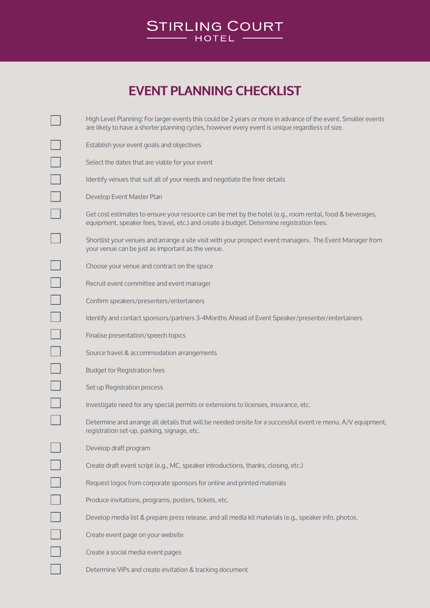

## **EVENT PLANNING CHECKLIST**

| High Level Planning: For larger events this could be 2 years or more in advance of the event. Smaller events<br>are likely to have a shorter planning cycles, however every event is unique regardless of size. |
|-----------------------------------------------------------------------------------------------------------------------------------------------------------------------------------------------------------------|
| Establish your event goals and objectives                                                                                                                                                                       |
| Select the dates that are viable for your event                                                                                                                                                                 |
| Identify venues that suit all of your needs and negotiate the finer details                                                                                                                                     |
| Develop Event Master Plan                                                                                                                                                                                       |
| Get cost estimates to ensure your resource can be met by the hotel (e.g., room rental, food & beverages,<br>equipment, speaker fees, travel, etc.) and create a budget. Determine registration fees.            |
| Shortlist your venues and arrange a site visit with your prospect event managers. The Event Manager from<br>your venue can be just as important as the venue.                                                   |
| Choose your venue and contract on the space                                                                                                                                                                     |
| Recruit event committee and event manager                                                                                                                                                                       |
| Confirm speakers/presenters/entertainers                                                                                                                                                                        |
| Identify and contact sponsors/partners 3-4Months Ahead of Event Speaker/presenter/entertainers                                                                                                                  |
| Finalise presentation/speech topics                                                                                                                                                                             |
| Source travel & accommodation arrangements                                                                                                                                                                      |
| <b>Budget for Registration fees</b>                                                                                                                                                                             |
| Set up Registration process                                                                                                                                                                                     |
| Investigate need for any special permits or extensions to licenses, insurance, etc.                                                                                                                             |
| Determine and arrange all details that will be needed onsite for a successful event re menu, A/V equipment,<br>registration set-up, parking, signage, etc.                                                      |
| Develop draft program                                                                                                                                                                                           |
| Create draft event script (e.g., MC, speaker introductions, thanks, closing, etc.)                                                                                                                              |
| Request logos from corporate sponsors for online and printed materials                                                                                                                                          |
| Produce invitations, programs, posters, tickets, etc.                                                                                                                                                           |
| Develop media list & prepare press release, and all media kit materials (e.g., speaker info, photos,                                                                                                            |
| Create event page on your website                                                                                                                                                                               |
| Create a social media event pages                                                                                                                                                                               |
| Determine VIPs and create invitation & tracking document                                                                                                                                                        |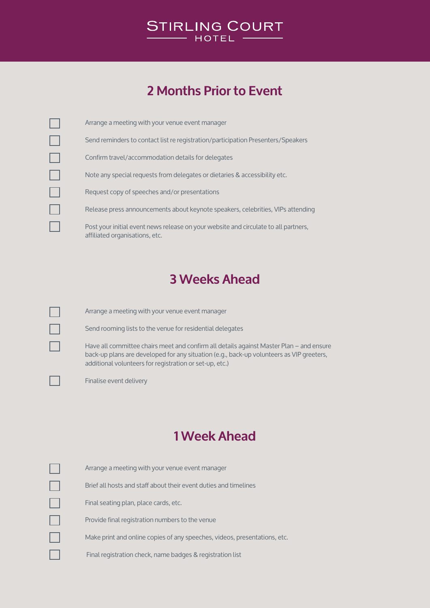

## **2 Months Prior to Event**

| Arrange a meeting with your venue event manager                                                                       |
|-----------------------------------------------------------------------------------------------------------------------|
| Send reminders to contact list re registration/participation Presenters/Speakers                                      |
| Confirm travel/accommodation details for delegates                                                                    |
| Note any special requests from delegates or dietaries & accessibility etc.                                            |
| Request copy of speeches and/or presentations                                                                         |
| Release press announcements about keynote speakers, celebrities, VIPs attending                                       |
| Post your initial event news release on your website and circulate to all partners,<br>affiliated organisations, etc. |

#### **3 Weeks Ahead**

×.

Arrange a meeting with your venue event manager

Send rooming lists to the venue for residential delegates

Have all committee chairs meet and confirm all details against Master Plan – and ensure back-up plans are developed for any situation (e.g., back-up volunteers as VIP greeters, additional volunteers for registration or set-up, etc.)

Finalise event delivery

### **1 Week Ahead**

| Arrange a meeting with your venue event manager                           |
|---------------------------------------------------------------------------|
| Brief all hosts and staff about their event duties and timelines          |
| Final seating plan, place cards, etc.                                     |
| Provide final registration numbers to the venue                           |
| Make print and online copies of any speeches, videos, presentations, etc. |
| Final registration check, name badges & registration list                 |